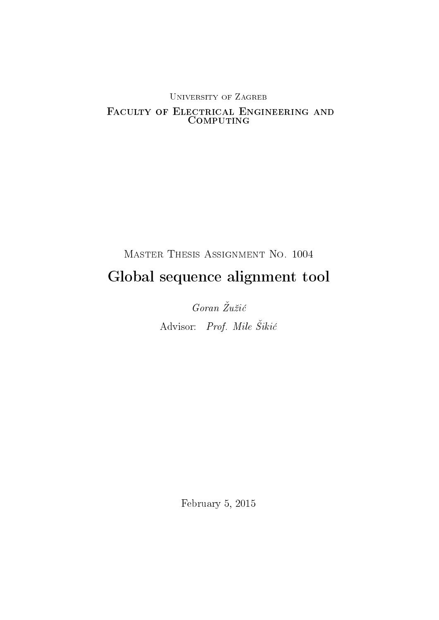# University of Zagreb Faculty of Electrical Engineering and COMPUTING

# Master Thesis Assignment No. 1004 Global sequence alignment tool

 $Goran \n Zužić$ Advisor: Prof. Mile Šikić

February 5, 2015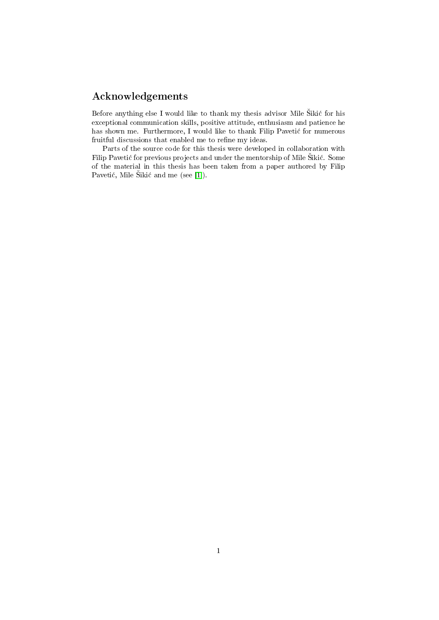# Acknowledgements

Before anything else I would like to thank my thesis advisor Mile Šikić for his exceptional communication skills, positive attitude, enthusiasm and patience he has shown me. Furthermore, I would like to thank Filip Paveti¢ for numerous fruitful discussions that enabled me to refine my ideas.

Parts of the source code for this thesis were developed in collaboration with Filip Pavetić for previous projects and under the mentorship of Mile Šikić. Some of the material in this thesis has been taken from a paper authored by Filip Pavetić, Mile Šikić and me (see [\[1\]](#page-27-0)).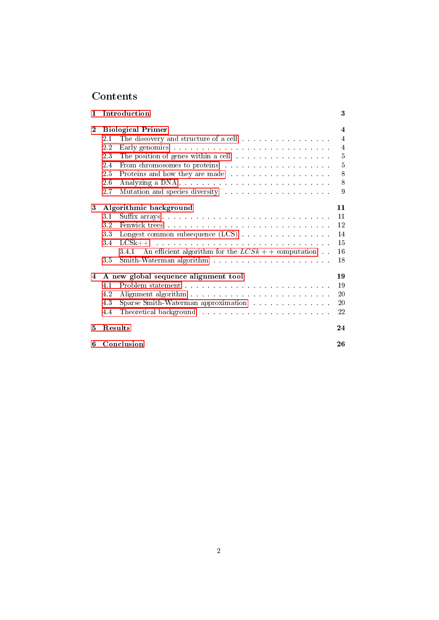# Contents

| $\mathbf{1}$ | Introduction                                                                                                                                                                                                                          |                     |  |  |  |
|--------------|---------------------------------------------------------------------------------------------------------------------------------------------------------------------------------------------------------------------------------------|---------------------|--|--|--|
| $\mathbf{2}$ | <b>Biological Primer</b>                                                                                                                                                                                                              | $\overline{\bf{4}}$ |  |  |  |
|              | The discovery and structure of a cell<br>2.1                                                                                                                                                                                          | 4                   |  |  |  |
|              | $2.2\,$                                                                                                                                                                                                                               | 4                   |  |  |  |
|              | 23                                                                                                                                                                                                                                    | 5                   |  |  |  |
|              | 2.4<br>From chromosomes to proteins and and and and annual service of the service of the service of the service of the service of the service of the service of the service of the service of the service of the service of the servi | 5                   |  |  |  |
|              | 2.5<br>Proteins and how they are made in the substitution of the protein state of the proton of the proton of the proton of the proton of the proton of the proton of the proton of the proton of the proton of the proton of the pro | 8                   |  |  |  |
|              | 2.6                                                                                                                                                                                                                                   | 8                   |  |  |  |
|              | 2.7<br>Mutation and species diversity entering the set of the set of the set of the set of the set of the set of the set of the set of the set of the set of the set of the set of the set of the set of the set of the set of the se | 9                   |  |  |  |
| 3            | Algorithmic background                                                                                                                                                                                                                | 11                  |  |  |  |
|              | 3.1                                                                                                                                                                                                                                   | 11                  |  |  |  |
|              | 3.2                                                                                                                                                                                                                                   | 12                  |  |  |  |
|              | 3.3                                                                                                                                                                                                                                   | 14                  |  |  |  |
|              | 34                                                                                                                                                                                                                                    | 15                  |  |  |  |
|              | An efficient algorithm for the $LCSk + +$ computation.<br>3.4.1                                                                                                                                                                       | 16                  |  |  |  |
|              | 3.5                                                                                                                                                                                                                                   | 18                  |  |  |  |
| 4            | A new global sequence alignment tool                                                                                                                                                                                                  | 19                  |  |  |  |
|              | 4.1                                                                                                                                                                                                                                   | 19                  |  |  |  |
|              | 4.2                                                                                                                                                                                                                                   | 20                  |  |  |  |
|              | 4.3<br>Sparse Smith-Waterman approximation and all and such a series of the Sparse Smith-Waterman approximation                                                                                                                       | 20                  |  |  |  |
|              | Theoretical background with a substitution of the set of the set of the set of the set of the set of the set of the set of the set of the set of the set of the set of the set of the set of the set of the set of the set of<br>4.4  | 22                  |  |  |  |
| 5            | Results                                                                                                                                                                                                                               | 24                  |  |  |  |
| 6            | Conclusion                                                                                                                                                                                                                            | 26                  |  |  |  |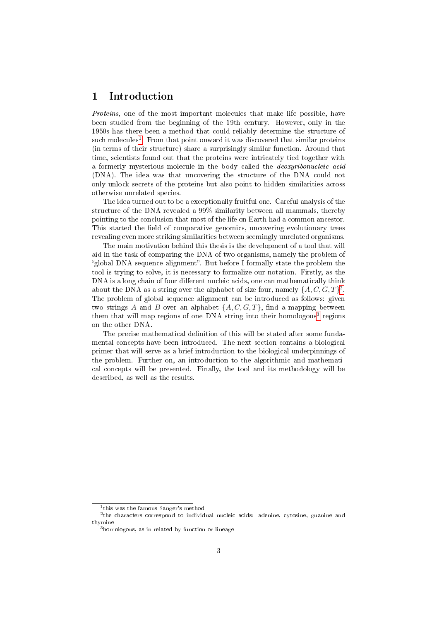## <span id="page-3-0"></span>1 Introduction

Proteins, one of the most important molecules that make life possible, have been studied from the beginning of the 19th century. However, only in the 1950s has there been a method that could reliably determine the structure of such molecules<sup>[1](#page-3-1)</sup>. From that point onward it was discovered that similar proteins (in terms of their structure) share a surprisingly similar function. Around that time, scientists found out that the proteins were intricately tied together with a formerly mysterious molecule in the body called the deoxyribonucleic acid (DNA). The idea was that uncovering the structure of the DNA could not only unlock secrets of the proteins but also point to hidden similarities across otherwise unrelated species.

The idea turned out to be a exceptionally fruitful one. Careful analysis of the structure of the DNA revealed a 99% similarity between all mammals, thereby pointing to the conclusion that most of the life on Earth had a common ancestor. This started the field of comparative genomics, uncovering evolutionary trees revealing even more striking similarities between seemingly unrelated organisms.

The main motivation behind this thesis is the development of a tool that will aid in the task of comparing the DNA of two organisms, namely the problem of "global DNA sequence alignment". But before I formally state the problem the tool is trying to solve, it is necessary to formalize our notation. Firstly, as the DNA is a long chain of four different nucleic acids, one can mathematically think about the DNA as a string over the alphabet of size four, namely  $\{A, C, G, T\}^2$  $\{A, C, G, T\}^2$ . The problem of global sequence alignment can be introduced as follows: given two strings A and B over an alphabet  $\{A, C, G, T\}$ , find a mapping between them that will map regions of one DNA string into their homologous<sup>[3](#page-3-3)</sup> regions on the other DNA.

The precise mathematical definition of this will be stated after some fundamental concepts have been introduced. The next section contains a biological primer that will serve as a brief introduction to the biological underpinnings of the problem. Further on, an introduction to the algorithmic and mathematical concepts will be presented. Finally, the tool and its methodology will be described, as well as the results.

<span id="page-3-2"></span><span id="page-3-1"></span><sup>1</sup> this was the famous Sanger's method

<sup>2</sup> the characters correspond to individual nucleic acids: adenine, cytosine, guanine and thymine

<span id="page-3-3"></span> $3$ homologous, as in related by function or lineage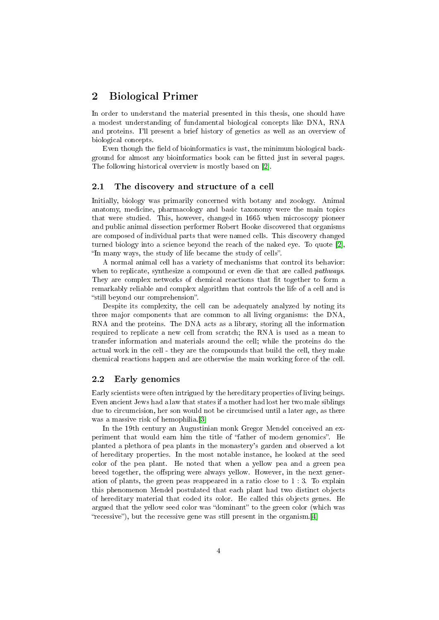## <span id="page-4-0"></span>2 Biological Primer

In order to understand the material presented in this thesis, one should have a modest understanding of fundamental biological concepts like DNA, RNA and proteins. I'll present a brief history of genetics as well as an overview of biological concepts.

Even though the field of bioinformatics is vast, the minimum biological background for almost any bioinformatics book can be tted just in several pages. The following historical overview is mostly based on [\[2\]](#page-27-1).

#### <span id="page-4-1"></span>2.1 The discovery and structure of a cell

Initially, biology was primarily concerned with botany and zoology. Animal anatomy, medicine, pharmacology and basic taxonomy were the main topics that were studied. This, however, changed in 1665 when microscopy pioneer and public animal dissection performer Robert Hooke discovered that organisms are composed of individual parts that were named cells. This discovery changed turned biology into a science beyond the reach of the naked eye. To quote [\[2\]](#page-27-1), "In many ways, the study of life became the study of cells".

A normal animal cell has a variety of mechanisms that control its behavior: when to replicate, synthesize a compound or even die that are called *pathways*. They are complex networks of chemical reactions that fit together to form a remarkably reliable and complex algorithm that controls the life of a cell and is "still beyond our comprehension".

Despite its complexity, the cell can be adequately analyzed by noting its three major components that are common to all living organisms: the DNA, RNA and the proteins. The DNA acts as a library, storing all the information required to replicate a new cell from scratch; the RNA is used as a mean to transfer information and materials around the cell; while the proteins do the actual work in the cell - they are the compounds that build the cell, they make chemical reactions happen and are otherwise the main working force of the cell.

#### <span id="page-4-2"></span>2.2 Early genomics

Early scientists were often intrigued by the hereditary properties of living beings. Even ancient Jews had a law that states if a mother had lost her two male siblings due to circumcision, her son would not be circumcised until a later age, as there was a massive risk of hemophilia.[\[3\]](#page-27-2)

In the 19th century an Augustinian monk Gregor Mendel conceived an experiment that would earn him the title of "father of modern genomics". He planted a plethora of pea plants in the monastery's garden and observed a lot of hereditary properties. In the most notable instance, he looked at the seed color of the pea plant. He noted that when a yellow pea and a green pea breed together, the offspring were always yellow. However, in the next generation of plants, the green peas reappeared in a ratio close to 1 : 3. To explain this phenomenon Mendel postulated that each plant had two distinct objects of hereditary material that coded its color. He called this objects genes. He argued that the yellow seed color was "dominant" to the green color (which was "recessive"), but the recessive gene was still present in the organism. [\[4\]](#page-27-3)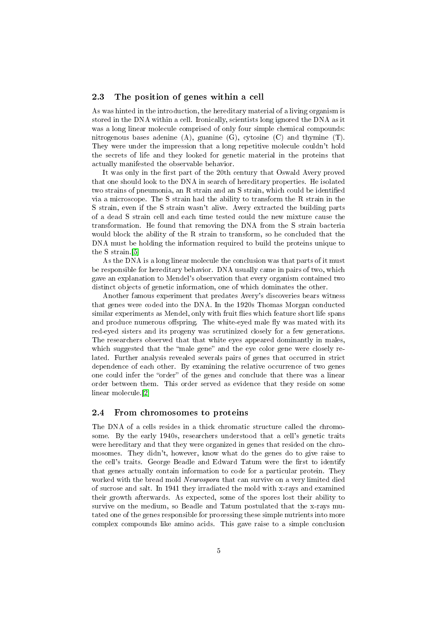#### <span id="page-5-0"></span>2.3 The position of genes within a cell

As was hinted in the introduction, the hereditary material of a living organism is stored in the DNA within a cell. Ironically, scientists long ignored the DNA as it was a long linear molecule comprised of only four simple chemical compounds: nitrogenous bases adenine  $(A)$ , guanine  $(G)$ , cytosine  $(C)$  and thymine  $(T)$ . They were under the impression that a long repetitive molecule couldn't hold the secrets of life and they looked for genetic material in the proteins that actually manifested the observable behavior.

It was only in the first part of the 20th century that Oswald Avery proved that one should look to the DNA in search of hereditary properties. He isolated two strains of pneumonia, an R strain and an S strain, which could be identified via a microscope. The S strain had the ability to transform the R strain in the S strain, even if the S strain wasn't alive. Avery extracted the building parts of a dead S strain cell and each time tested could the new mixture cause the transformation. He found that removing the DNA from the S strain bacteria would block the ability of the R strain to transform, so he concluded that the DNA must be holding the information required to build the proteins unique to the S strain.[\[5\]](#page-27-4)

As the DNA is a long linear molecule the conclusion was that parts of it must be responsible for hereditary behavior. DNA usually came in pairs of two, which gave an explanation to Mendel's observation that every organism contained two distinct objects of genetic information, one of which dominates the other.

Another famous experiment that predates Avery's discoveries bears witness that genes were coded into the DNA. In the 1920s Thomas Morgan conducted similar experiments as Mendel, only with fruit flies which feature short life spans and produce numerous offspring. The white-eyed male fly was mated with its red-eyed sisters and its progeny was scrutinized closely for a few generations. The researchers observed that that white eyes appeared dominantly in males, which suggested that the "male gene" and the eye color gene were closely related. Further analysis revealed severals pairs of genes that occurred in strict dependence of each other. By examining the relative occurrence of two genes one could infer the "order" of the genes and conclude that there was a linear order between them. This order served as evidence that they reside on some linear molecule.[\[2\]](#page-27-1)

#### <span id="page-5-1"></span>2.4 From chromosomes to proteins

The DNA of a cells resides in a thick chromatic structure called the chromosome. By the early 1940s, researchers understood that a cell's genetic traits were hereditary and that they were organized in genes that resided on the chromosomes. They didn't, however, know what do the genes do to give raise to the cell's traits. George Beadle and Edward Tatum were the first to identify that genes actually contain information to code for a particular protein. They worked with the bread mold Neurospora that can survive on a very limited died of sucrose and salt. In 1941 they irradiated the mold with x-rays and examined their growth afterwards. As expected, some of the spores lost their ability to survive on the medium, so Beadle and Tatum postulated that the x-rays mutated one of the genes responsible for processing these simple nutrients into more complex compounds like amino acids. This gave raise to a simple conclusion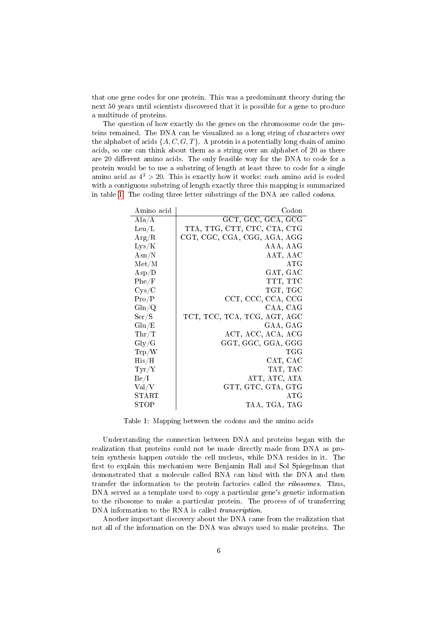that one gene codes for one protein. This was a predominant theory during the next 50 years until scientists discovered that it is possible for a gene to produce a multitude of proteins.

The question of how exactly do the genes on the chromosome code the proteins remained. The DNA can be visualized as a long string of characters over the alphabet of acids  $\{A, C, G, T\}$ . A protein is a potentially long chain of amino acids, so one can think about them as a string over an alphabet of 20 as there are 20 different amino acids. The only feasible way for the DNA to code for a protein would be to use a substring of length at least three to code for a single amino acid as  $4^3 > 20$ . This is exactly how it works: each amino acid is coded with a contiguous substring of length exactly three this mapping is summarized in table [1.](#page-6-0) The coding three letter substrings of the DNA are called codons.

<span id="page-6-0"></span>

| Codon                        |
|------------------------------|
| GCT, GCC, GCA, GCG           |
| TTA, TTG, CTT, CTC, CTA, CTG |
| CGT, CGC, CGA, CGG, AGA, AGG |
| AAA, AAG                     |
| AAT, AAC                     |
| ATG                          |
| GAT, GAC                     |
| TTT, TTC                     |
| TGT, TGC                     |
| CCT, CCC, CCA, CCG           |
| CAA, CAG                     |
| TCT, TCC, TCA, TCG, AGT, AGC |
| GAA, GAG                     |
| ACT, ACC, ACA, ACG           |
| GGT, GGC, GGA, GGG           |
| TGG                          |
| CAT, CAC                     |
| TAT, TAC                     |
| ATT, ATC, ATA                |
| GTT, GTC, GTA, GTG           |
| ATG                          |
| TAA, TGA, TAG                |
|                              |

Table 1: Mapping between the codons and the amino acids

Understanding the connection between DNA and proteins began with the realization that proteins could not be made directly made from DNA as protein synthesis happen outside the cell nucleus, while DNA resides in it. The first to explain this mechanism were Benjamin Hall and Sol Spiegelman that demonstrated that a molecule called RNA can bind with the DNA and then transfer the information to the protein factories called the ribosomes. Thus, DNA served as a template used to copy a particular gene's genetic information to the ribosome to make a particular protein. The process of of transferring DNA information to the RNA is called transcription.

Another important discovery about the DNA came from the realization that not all of the information on the DNA was always used to make proteins. The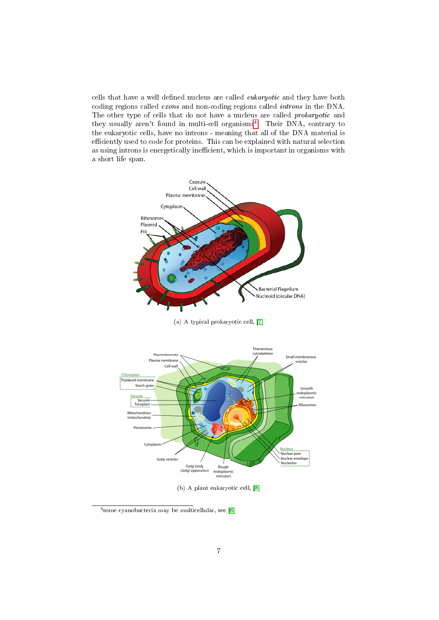cells that have a well defined nucleus are called *eukaryotic* and they have both coding regions called exons and non-coding regions called introns in the DNA. The other type of cells that do not have a nucleus are called prokaryotic and they usually aren't found in multi-cell organisms<sup>[4](#page-7-0)</sup>. Their DNA, contrary to the eukaryotic cells, have no introns - meaning that all of the DNA material is efficiently used to code for proteins. This can be explained with natural selection as using introns is energetically inefficient, which is important in organisms with a short life span.



(a) A typical prokaryotic cell, [\[7\]](#page-27-5)



(b) A plant eukaryotic cell, [\[8\]](#page-27-6)

<span id="page-7-0"></span><sup>4</sup> some cyanobacteria may be multicellular, see [\[6\]](#page-27-7)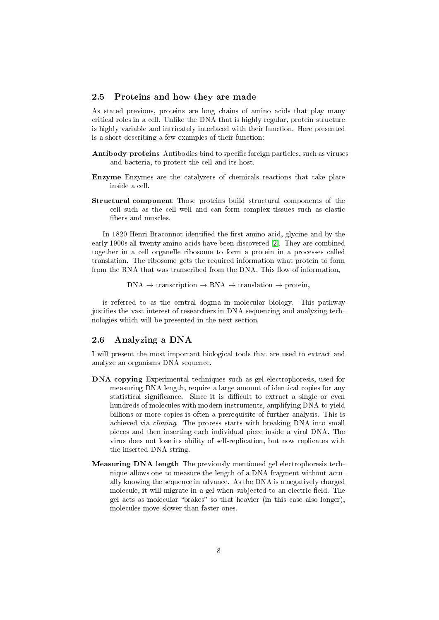#### <span id="page-8-0"></span>2.5 Proteins and how they are made

As stated previous, proteins are long chains of amino acids that play many critical roles in a cell. Unlike the DNA that is highly regular, protein structure is highly variable and intricately interlaced with their function. Here presented is a short describing a few examples of their function:

- Antibody proteins Antibodies bind to specific foreign particles, such as viruses and bacteria, to protect the cell and its host.
- Enzyme Enzymes are the catalyzers of chemicals reactions that take place inside a cell.
- Structural component Those proteins build structural components of the cell such as the cell well and can form complex tissues such as elastic fibers and muscles.

In 1820 Henri Braconnot identified the first amino acid, glycine and by the early 1900s all twenty amino acids have been discovered [\[2\]](#page-27-1). They are combined together in a cell organelle ribosome to form a protein in a processes called translation. The ribosome gets the required information what protein to form from the RNA that was transcribed from the DNA. This flow of information,

 $DNA \rightarrow transformation \rightarrow RNA \rightarrow translation \rightarrow protein,$ 

is referred to as the central dogma in molecular biology. This pathway justifies the vast interest of researchers in DNA sequencing and analyzing technologies which will be presented in the next section.

## <span id="page-8-1"></span>2.6 Analyzing a DNA

I will present the most important biological tools that are used to extract and analyze an organisms DNA sequence.

- DNA copying Experimental techniques such as gel electrophoresis, used for measuring DNA length, require a large amount of identical copies for any statistical significance. Since it is difficult to extract a single or even hundreds of molecules with modern instruments, amplifying DNA to yield billions or more copies is often a prerequisite of further analysis. This is achieved via cloning. The process starts with breaking DNA into small pieces and then inserting each individual piece inside a viral DNA. The virus does not lose its ability of self-replication, but now replicates with the inserted DNA string.
- Measuring DNA length The previously mentioned gel electrophoresis technique allows one to measure the length of a DNA fragment without actually knowing the sequence in advance. As the DNA is a negatively charged molecule, it will migrate in a gel when subjected to an electric field. The gel acts as molecular "brakes" so that heavier (in this case also longer), molecules move slower than faster ones.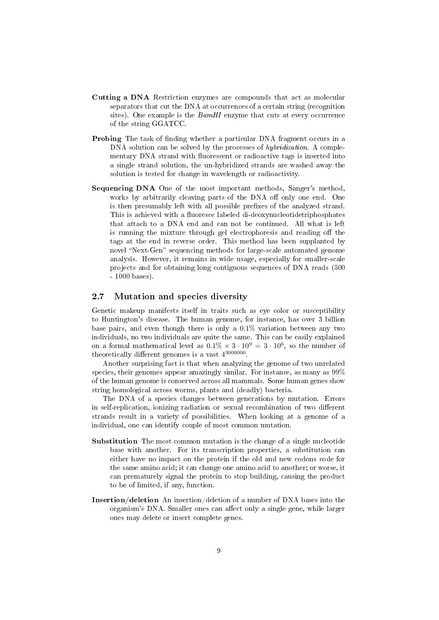- Cutting a DNA Restriction enzymes are compounds that act as molecular separators that cut the DNA at occurrences of a certain string (recognition sites). One example is the BamHI enzyme that cuts at every occurrence of the string GGATCC.
- Probing The task of finding whether a particular DNA fragment occurs in a DNA solution can be solved by the processes of *hybridization*. A complementary DNA strand with fluorescent or radioactive tags is inserted into a single strand solution, the un-hybridized strands are washed away the solution is tested for change in wavelength or radioactivity.
- Sequencing DNA One of the most important methods, Sanger's method, works by arbitrarily cleaving parts of the DNA off only one end. One is then presumably left with all possible prefixes of the analyzed strand. This is achieved with a fluoresce labeled di-deoxynucleotidetriphosphates that attach to a DNA end and can not be continued. All what is left is running the mixture through gel electrophoresis and reading off the tags at the end in reverse order. This method has been supplanted by novel "Next-Gen" sequencing methods for large-scale automated genome analysis. However, it remains in wide usage, especially for smaller-scale projects and for obtaining long contiguous sequences of DNA reads (500 - 1000 bases).

#### <span id="page-9-0"></span>2.7 Mutation and species diversity

Genetic makeup manifests itself in traits such as eye color or susceptibility to Huntington's disease. The human genome, for instance, has over 3 billion base pairs, and even though there is only a  $0.1\%$  variation between any two individuals, no two individuals are quite the same. This can be easily explained on a formal mathematical level as  $0.1\% \times 3 \cdot 10^9 = 3 \cdot 10^6$ , so the number of theoretically different genomes is a vast  $4^{3000000}$ .

Another surprising fact is that when analyzing the genome of two unrelated species, their genomes appear amazingly similar. For instance, as many as 99% of the human genome is conserved across all mammals. Some human genes show string homological across worms, plants and (deadly) bacteria.

The DNA of a species changes between generations by mutation. Errors in self-replication, ionizing radiation or sexual recombination of two different strands result in a variety of possibilities. When looking at a genome of a individual, one can identify couple of most common mutation.

- Substitution The most common mutation is the change of a single nucleotide base with another. For its transcription properties, a substitution can either have no impact on the protein if the old and new codons code for the same amino acid; it can change one amino acid to another; or worse, it can prematurely signal the protein to stop building, causing the product to be of limited, if any, function.
- Insertion/deletion An insertion/deletion of a number of DNA bases into the organism's DNA. Smaller ones can affect only a single gene, while larger ones may delete or insert complete genes.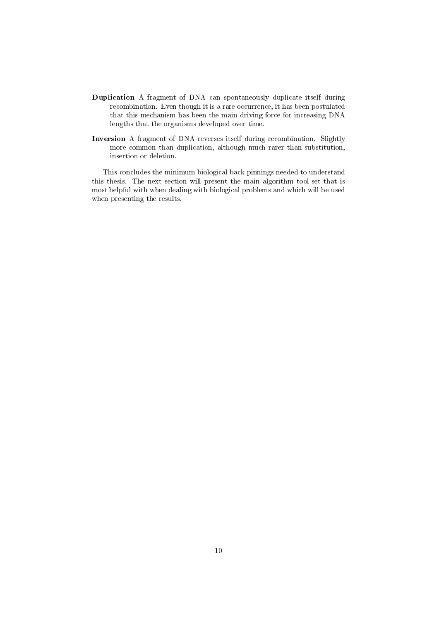- Duplication A fragment of DNA can spontaneously duplicate itself during recombination. Even though it is a rare occurrence, it has been postulated that this mechanism has been the main driving force for increasing DNA lengths that the organisms developed over time.
- Inversion A fragment of DNA reverses itself during recombination. Slightly more common than duplication, although much rarer than substitution, insertion or deletion.

This concludes the minimum biological back-pinnings needed to understand this thesis. The next section will present the main algorithm tool-set that is most helpful with when dealing with biological problems and which will be used when presenting the results.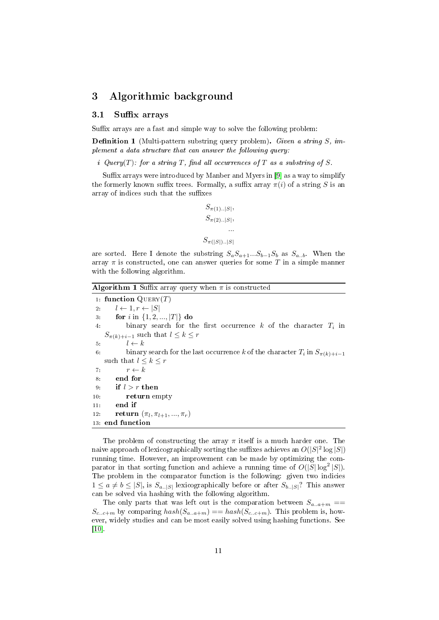## <span id="page-11-0"></span>3 Algorithmic background

#### <span id="page-11-1"></span>3.1 Suffix arrays

Suffix arrays are a fast and simple way to solve the following problem:

**Definition 1** (Multi-pattern substring query problem). Given a string  $S$ , implement a data structure that can answer the following query:

i Query(T): for a string T, find all occurrences of T as a substring of S.

Suffix arrays were introduced by Manber and Myers in [\[9\]](#page-27-8) as a way to simplify the formerly known suffix trees. Formally, a suffix array  $\pi(i)$  of a string S is an array of indices such that the suffixes

```
S_{\pi(1) \dots |S|},S_{\pi(2) \dots |S|},...
S_{\pi(|S|) \dots |S|}
```
are sorted. Here I denote the substring  $S_aS_{a+1}...S_{b-1}S_b$  as  $S_{a,b}$ . When the array  $\pi$  is constructed, one can answer queries for some T in a simple manner with the following algorithm.

**Algorithm 1** Suffix array query when  $\pi$  is constructed

1: function  $\mathrm{Query}(T)$ 2:  $l \leftarrow 1, r \leftarrow |S|$ 3: **for** i in  $\{1, 2, ..., |T|\}$  do 4: binary search for the first occurrence  $k$  of the character  $T_i$  in  $S_{\pi(k)+i-1}$  such that  $l \leq k \leq r$ 5:  $l \leftarrow k$ 6: binary search for the last occurrence k of the character  $T_i$  in  $S_{\pi(k)+i-1}$ such that  $l \leq k \leq r$ 7:  $r \leftarrow k$ 8: end for 9: if  $l > r$  then 10: return empty 11: end if 12: **return**  $(\pi_l, \pi_{l+1}, ..., \pi_r)$ 13: end function

The problem of constructing the array  $\pi$  itself is a much harder one. The naive approach of lexicographically sorting the suffixes achieves an  $O(|S|^2\log |S|)$ running time. However, an improvement can be made by optimizing the comparator in that sorting function and achieve a running time of  $O(|S|\log^2 |S|)$ . The problem in the comparator function is the following: given two indicies  $1 \le a \ne b \le |S|$ , is  $S_{a\ldots|S|}$  lexicographically before or after  $S_{b\ldots|S|}$ ? This answer can be solved via hashing with the following algorithm.

The only parts that was left out is the comparation between  $S_{a..a+m}$  ==  $S_{c..c+m}$  by comparing  $hash(S_{a..a+m}) == hash(S_{c..c+m})$ . This problem is, however, widely studies and can be most easily solved using hashing functions. See [\[10\]](#page-27-9).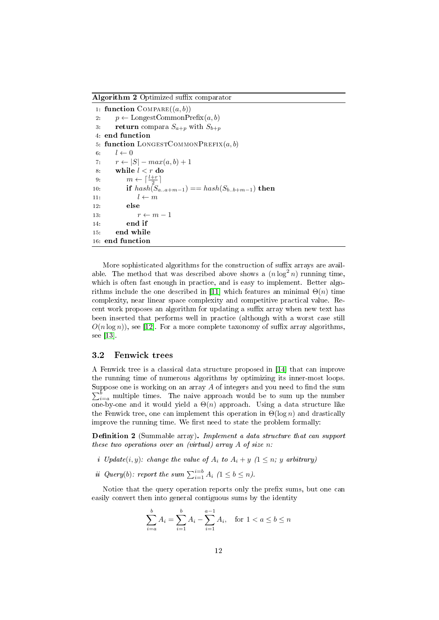Algorithm 2 Optimized suffix comparator

```
1: function COMPARE((a, b))2: p \leftarrow \text{LongestCommonPrefix}(a, b)3: return compara S_{a+p} with S_{b+p}4: end function
 5: function LONGESTCOMMONPREFIX(a, b)6: l \leftarrow 07: r \leftarrow |S| - max(a, b) + 18: while l < r do
 9: m \leftarrow \lceil \frac{l+r}{2} \rceil10: if hash(S_{a..a+m-1}) == hash(S_{b..b+m-1}) then
11: l \leftarrow m12: else
13: r \leftarrow m-114: end if
15: end while
16: end function
```
More sophisticated algorithms for the construction of suffix arrays are available. The method that was described above shows a  $(n \log^2 n)$  running time, which is often fast enough in practice, and is easy to implement. Better algo-rithms include the one described in [\[11\]](#page-27-10) which features an minimal  $\Theta(n)$  time complexity, near linear space complexity and competitive practical value. Recent work proposes an algorithm for updating a suffix array when new text has been inserted that performs well in practice (although with a worst case still  $O(n \log n)$ , see [\[12\]](#page-27-11). For a more complete taxonomy of suffix array algorithms. see [\[13\]](#page-27-12).

#### <span id="page-12-0"></span>3.2 Fenwick trees

A Fenwick tree is a classical data structure proposed in [\[14\]](#page-27-13) that can improve the running time of numerous algorithms by optimizing its inner-most loops. Suppose one is working on an array  $A$  of integers and you need to find the sum  $\sum_{i=a}^{b}$  multiple times. The naive approach would be to sum up the number one-by-one and it would yield a  $\Theta(n)$  approach. Using a data structure like the Fenwick tree, one can implement this operation in  $\Theta(\log n)$  and drastically improve the running time. We first need to state the problem formally:

**Definition 2** (Summable array). Implement a data structure that can support these two operations over an (virtual) array  $A$  of size n.

- *i* Update $(i, y)$ : change the value of  $A_i$  to  $A_i + y$   $(1 \leq n; y$  arbitrary)
- ii Query(b): report the sum  $\sum_{i=1}^{i=b} A_i$   $(1 \le b \le n)$ .

Notice that the query operation reports only the prefix sums, but one can easily convert then into general contiguous sums by the identity

$$
\sum_{i=a}^{b} A_i = \sum_{i=1}^{b} A_i - \sum_{i=1}^{a-1} A_i, \text{ for } 1 < a \le b \le n
$$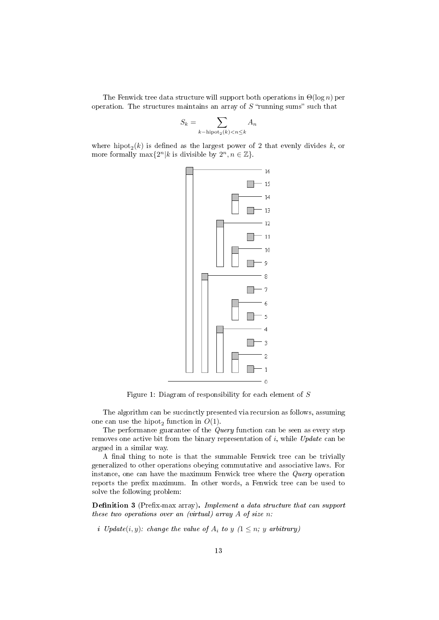The Fenwick tree data structure will support both operations in  $\Theta(\log n)$  per operation. The structures maintains an array of  $S$  "running sums" such that

$$
S_k = \sum_{k - \text{hipot}_2(k) < n \le k} A_n
$$

where hipot<sub>2</sub>(k) is defined as the largest power of 2 that evenly divides k, or more formally  $\max\{2^n | k \text{ is divisible by } 2^n, n \in \mathbb{Z}\}.$ 



Figure 1: Diagram of responsibility for each element of S

The algorithm can be succinctly presented via recursion as follows, assuming one can use the hipot<sub>2</sub> function in  $O(1)$ .

The performance guarantee of the  $Query$  function can be seen as every step removes one active bit from the binary representation of  $i$ , while Update can be argued in a similar way.

A final thing to note is that the summable Fenwick tree can be trivially generalized to other operations obeying commutative and associative laws. For instance, one can have the maximum Fenwick tree where the Query operation reports the prefix maximum. In other words, a Fenwick tree can be used to solve the following problem:

Definition 3 (Prefix-max array). Implement a data structure that can support these two operations over an (virtual) array A of size n:

i Update $(i, y)$ : change the value of  $A_i$  to y  $(1 \leq n; y \text{ arbitrary})$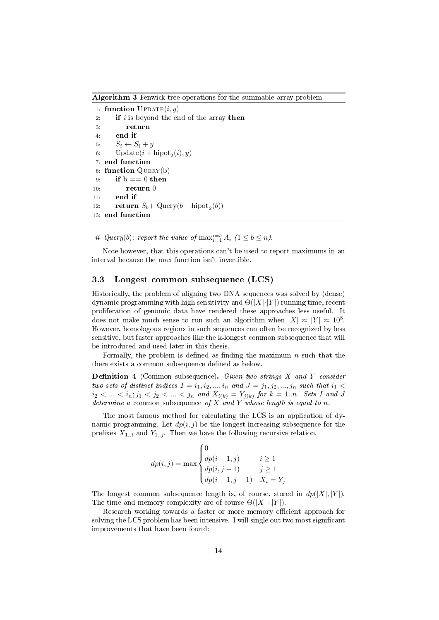Algorithm 3 Fenwick tree operations for the summable array problem

```
1: function \text{UPDATE}(i, y)2: if is beyond the end of the array then
3: return
4: end if
5: S_i \leftarrow S_i + y6: Update(i + \text{hipot}_2(i), y)7: end function
8: function QUERY(b)
9: if b == 0 then
10: return 0
11: end if
12: return S_b + Query(b – hipot<sub>2</sub>(b))
13: end function
```
ii Query(b): report the value of  $\max_{i=1}^{i=b} A_i$   $(1 \le b \le n)$ .

Note however, that this operations can't be used to report maximums in an interval because the max function isn't invertible.

#### <span id="page-14-0"></span>3.3 Longest common subsequence (LCS)

Historically, the problem of aligning two DNA sequences was solved by (dense) dynamic programming with high sensitivity and  $\Theta(|X|\cdot|Y|)$  running time, recent proliferation of genomic data have rendered these approaches less useful. It does not make much sense to run such an algorithm when  $|X| \approx |Y| \approx 10^8$ . However, homologous regions in such sequences can often be recognized by less sensitive, but faster approaches like the k-longest common subsequence that will be introduced and used later in this thesis.

Formally, the problem is defined as finding the maximum  $n$  such that the there exists a common subsequence defined as below.

**Definition 4** (Common subsequence). Given two strings  $X$  and  $Y$  consider two sets of distinct indices  $I = i_1, i_2, ..., i_n$  and  $J = j_1, j_2, ..., j_n$  such that  $i_1 <$  $i_2 < ... < i_n; j_1 < j_2 < ... < j_n$  and  $X_{i(k)} = Y_{j(k)}$  for  $k = 1...n$ . Sets I and J determine a common subsequence of X and Y whose length is equal to n.

The most famous method for calculating the LCS is an application of dynamic programming. Let  $dp(i, j)$  be the longest increasing subsequence for the prefixes  $X_{1..i}$  and  $Y_{1..j}$ . Then we have the following recursive relation.

$$
dp(i,j) = \max \begin{cases} 0 & i \ge 1 \\ dp(i-1,j) & i \ge 1 \\ dp(i,j-1) & j \ge 1 \\ dp(i-1,j-1) & X_i = Y_j \end{cases}
$$

The longest common subsequence length is, of course, stored in  $dp(|X|, |Y|)$ . The time and memory complexity are of course  $\Theta(|X| \cdot |Y|)$ .

Research working towards a faster or more memory efficient approach for solving the LCS problem has been intensive. I will single out two most signicant improvements that have been found: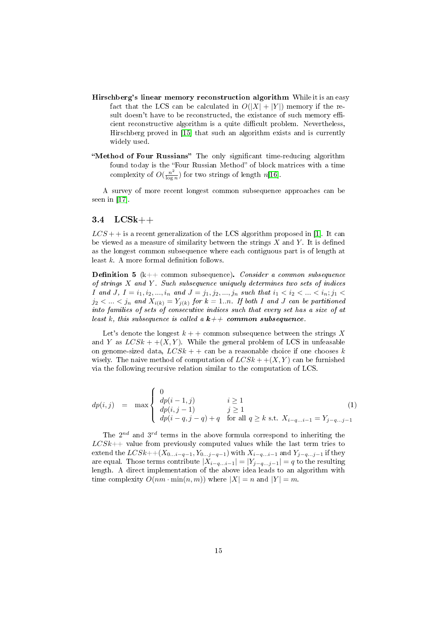- Hirschberg's linear memory reconstruction algorithm While it is an easy fact that the LCS can be calculated in  $O(|X| + |Y|)$  memory if the result doesn't have to be reconstructed, the existance of such memory efficient reconstructive algorithm is a quite difficult problem. Nevertheless, Hirschberg proved in [\[15\]](#page-27-14) that such an algorithm exists and is currently widely used.
- "Method of Four Russians" The only significant time-reducing algorithm found today is the "Four Russian Method" of block matrices with a time complexity of  $O(\frac{n^2}{\log n})$  $\frac{n^2}{\log n}$ ) for two strings of length n[\[16\]](#page-27-15).

A survey of more recent longest common subsequence approaches can be seen in [\[17\]](#page-28-0).

#### <span id="page-15-0"></span>3.4 LCSk++

 $LCS$  + is a recent generalization of the LCS algorithm proposed in [\[1\]](#page-27-0). It can be viewed as a measure of similarity between the strings  $X$  and  $Y$ . It is defined as the longest common subsequence where each contiguous part is of length at least  $k$ . A more formal definition follows.

**Definition 5** ( $k++$  common subsequence). Consider a common subsequence of strings  $X$  and  $Y$ . Such subsequence uniquely determines two sets of indices *I* and *J*,  $I = i_1, i_2, ..., i_n$  and  $J = j_1, j_2, ..., j_n$  such that  $i_1 < i_2 < ... < i_n; j_1 <$  $j_2 < ... < j_n$  and  $X_{i(k)} = Y_{j(k)}$  for  $k = 1..n$ . If both I and J can be partitioned into families of sets of consecutive indices such that every set has a size of at least k, this subsequence is called a  $k++$  common subsequence.

Let's denote the longest  $k + +$  common subsequence between the strings X and Y as  $LCSk + (X, Y)$ . While the general problem of LCS in unfeasable on genome-sized data,  $LCSk + \epsilon$  can be a reasonable choice if one chooses k wisely. The naive method of computation of  $LCSk + (X, Y)$  can be furnished via the following recursive relation similar to the computation of LCS.

$$
dp(i,j) = \max \begin{cases} 0 & i \ge 1 \\ dp(i,j-1) & j \ge 1 \\ dp(i-g,j-q) + q & \text{for all } q \ge k \text{ s.t. } X_{i-q...i-1} = Y_{j-q...j-1} \end{cases}
$$
(1)

The  $2^{nd}$  and  $3^{rd}$  terms in the above formula correspond to inheriting the  $LCSk++$  value from previously computed values while the last term tries to extend the  $LCSk+(X_{0...i-q-1}, Y_{0...j-q-1})$  with  $X_{i-q...i-1}$  and  $Y_{j-q...j-1}$  if they are equal. Those terms contribute  $|X_{i-q...i-1}| = |Y_{j-q...j-1}| = q$  to the resulting length. A direct implementation of the above idea leads to an algorithm with time complexity  $O(nm \cdot \min(n, m))$  where  $|X| = n$  and  $|Y| = m$ .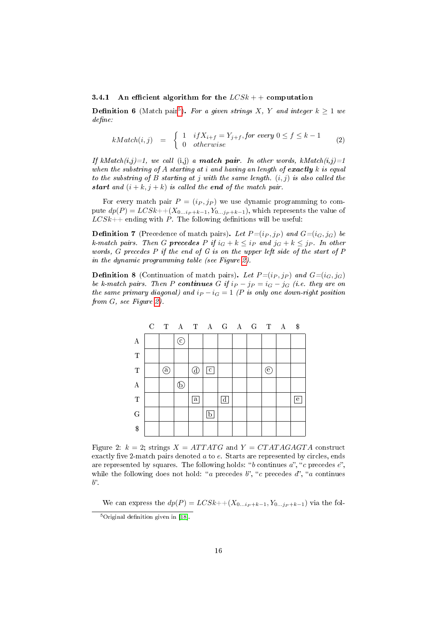#### <span id="page-16-0"></span>3.4.1 An efficient algorithm for the  $LCSk++$  computation

**Definition 6** (Match pair<sup>[5](#page-16-1)</sup>). For a given strings X, Y and integer  $k \geq 1$  we  $define:$ 

$$
kMatch(i,j) = \begin{cases} 1 & if X_{i+f} = Y_{j+f}, for\ every\ 0 \le f \le k-1 \\ 0 & otherwise \end{cases} \tag{2}
$$

If kMatch $(i,j)=1$ , we call  $(i,j)$  a **match pair**. In other words, kMatch $(i,j)=1$ when the substring of A starting at i and having an length of exactly  $k$  is equal to the substring of B starting at j with the same length.  $(i, j)$  is also called the start and  $(i + k, j + k)$  is called the end of the match pair.

For every match pair  $P = (i_P, j_P)$  we use dynamic programming to compute  $dp(P) = LCSk + (X_{0...ip+k-1}, Y_{0...jp+k-1}),$  which represents the value of  $LCSk++$  ending with P. The following definitions will be useful:

**Definition 7** (Precedence of match pairs). Let  $P=(i_P, j_P)$  and  $G=(i_G, j_G)$  be k-match pairs. Then G precedes P if  $i_G + k \leq i_P$  and  $j_G + k \leq j_P$ . In other words, G precedes P if the end of G is on the upper left side of the start of P in the dynamic programming table (see Figure [2\)](#page-16-2).

**Definition 8** (Continuation of match pairs). Let  $P=(i_P, j_P)$  and  $G=(i_G, j_G)$ be k-match pairs. Then P continues G if  $i_P - j_P = i_G - j_G$  (i.e. they are on the same primary diagonal) and  $i_P - i_G = 1$  (P is only one down-right position from G, see Figure [2\)](#page-16-2).

<span id="page-16-2"></span>

|             | $\mathcal{C}$ |    |                                                              | T A T A G A G T A |             |                |  |     | $\sqrt{3}$   |
|-------------|---------------|----|--------------------------------------------------------------|-------------------|-------------|----------------|--|-----|--------------|
| А           |               |    | $(\widehat{\textbf{c}}% ,\widehat{\textbf{c}}_{\textbf{c}})$ |                   |             |                |  |     |              |
| $\mathbf T$ |               |    |                                                              |                   |             |                |  |     |              |
| $\mathbf T$ |               | a, |                                                              | d                 | $\mathbf c$ |                |  | (e) |              |
| $\bf{A}$    |               |    | Б                                                            |                   |             |                |  |     |              |
| $\mathbf T$ |               |    |                                                              | $\mathbf a$       |             | $\overline{d}$ |  |     | $\mathbf{e}$ |
| ${\bf G}$   |               |    |                                                              |                   | $\mathbf b$ |                |  |     |              |
| \$          |               |    |                                                              |                   |             |                |  |     |              |

Figure 2:  $k = 2$ ; strings  $X = ATTATG$  and  $Y = CTATAGAGTA$  construct exactly five 2-match pairs denoted  $a$  to  $e$ . Starts are represented by circles, ends are represented by squares. The following holds: "b continues  $a$ ", "c precedes  $e$ ", while the following does not hold: "a precedes  $b$ ", "c precedes  $d$ ", "a continues  $b^{\prime\prime}$ 

We can express the  $dp(P) = LCSk + (X_{0...ip+k-1}, Y_{0...ip+k-1})$  via the fol- $5$ Original definition given in [\[18\]](#page-28-1).

<span id="page-16-1"></span>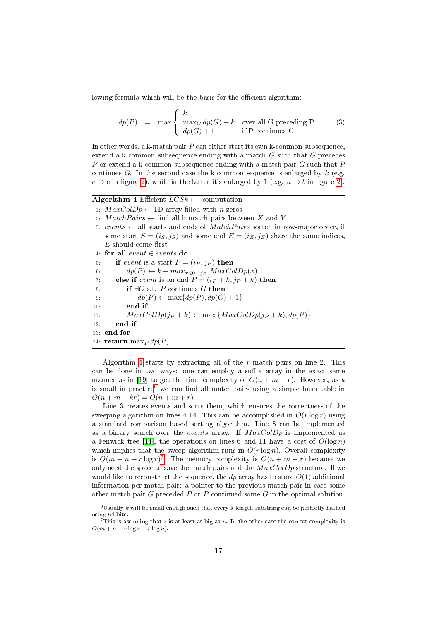lowing formula which will be the basis for the efficient algorithm:

$$
dp(P) = \max \begin{cases} k \\ \max_G dp(G) + k \\ dp(G) + 1 \end{cases} \text{ over all } G \text{ preceding } P \tag{3}
$$

In other words, a k-match pair  $P$  can either start its own k-common subsequence, extend a k-common subsequence ending with a match G such that G precedes P or extend a k-common subsequence ending with a match pair G such that P continues G. In the second case the k-common sequence is enlarged by  $k$  (e.g.  $c \rightarrow e$  in figure [2\)](#page-16-2), while in the latter it's enlarged by 1 (e.g.  $a \rightarrow b$  in figure 2).

<span id="page-17-0"></span>Algorithm 4 Efficient  $LCSk++$  computation

- 1:  $MaxColDp \leftarrow 1D$  array filled with *n* zeros
- 2:  $MatchPairs \leftarrow$  find all k-match pairs between X and Y
- 3: events  $\leftarrow$  all starts and ends of *MatchPairs* sorted in row-major order, if some start  $S = (i_S, j_S)$  and some end  $E = (i_E, j_E)$  share the same indices,  $E$  should come first
- 4: for all event ∈ events do
- 5: if event is a start  $P = (i_P, i_P)$  then
- 6:  $dp(P) \leftarrow k + max_{x \in 0...j_P} MaxColDp(x)$
- 7: else if event is an end  $P = (i_P + k, j_P + k)$  then
- 8: if  $\exists G$  s.t. P continues G then
- 9:  $dp(P) \leftarrow \max\{dp(P), dp(G) + 1\}$
- 10: end if
- 11:  $MaxColDp(j_P + k) \leftarrow max\{MaxColDp(j_P + k), dp(P)\}$

12: end if

13: end for

```
14: \operatorname{return} \max_P dp(P)
```
Algorithm [4](#page-17-0) starts by extracting all of the  $r$  match pairs on line 2. This can be done in two ways: one can employ a suffix array in the exact same manner as in [\[19\]](#page-28-2) to get the time complexity of  $O(n + m + r)$ . However, as k is small in practice<sup>[6](#page-17-1)</sup> we can find all match pairs using a simple hash table in  $O(n + m + kr) = O(n + m + r).$ 

Line 3 creates events and sorts them, which ensures the correctness of the sweeping algorithm on lines 4-14. This can be accomplished in  $O(r \log r)$  using a standard comparison based sorting algorithm. Line 8 can be implemented as a binary search over the events array. If  $MaxColDp$  is implemented as a Fenwick tree [\[14\]](#page-27-13), the operations on lines 6 and 11 have a cost of  $O(\log n)$ which implies that the sweep algorithm runs in  $O(r \log n)$ . Overall complexity is  $O(m + n + r \log r)^7$  $O(m + n + r \log r)^7$ . The memory complexity is  $O(n + m + r)$  because we only need the space to save the match pairs and the  $MaxColDp$  structure. If we would like to reconstruct the sequence, the dp array has to store  $O(1)$  additional information per match pair: a pointer to the previous match pair in case some other match pair  $G$  preceded  $P$  or  $P$  continued some  $G$  in the optimal solution.

<span id="page-17-1"></span> $6$ Usually  $k$  will be small enough such that every k-length substring can be perfectly hashed using 64 bits.

<span id="page-17-2"></span><sup>&</sup>lt;sup>7</sup>This is assuming that r is at least as big as n. In the other case the correct complexity is  $O(m + n + r \log r + r \log n)$ .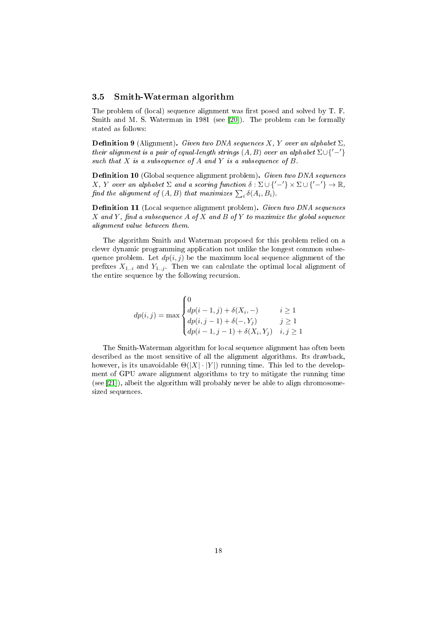#### <span id="page-18-0"></span>3.5 Smith-Waterman algorithm

The problem of (local) sequence alignment was first posed and solved by T. F. Smith and M. S. Waterman in 1981 (see [\[20\]](#page-28-3)). The problem can be formally stated as follows:

**Definition 9** (Alignment). Given two DNA sequences X, Y over an alphabet  $\Sigma$ , their alignment is a pair of equal-length strings  $(A, B)$  over an alphabet  $\Sigma \cup \{-1\}$ such that  $X$  is a subsequence of  $A$  and  $Y$  is a subsequence of  $B$ .

Definition 10 (Global sequence alignment problem). Given two DNA sequences X, Y over an alphabet  $\Sigma$  and a scoring function  $\delta : \Sigma \cup \{-'\} \times \Sigma \cup \{-'\} \to \mathbb{R}$ , find the alignment of  $(A, B)$  that maximizes  $\sum_i \delta(A_i, B_i)$ .

Definition 11 (Local sequence alignment problem). Given two DNA sequences  $X$  and Y, find a subsequence A of X and B of Y to maximize the global sequence alignment value between them.

The algorithm Smith and Waterman proposed for this problem relied on a clever dynamic programming application not unlike the longest common subsequence problem. Let  $dp(i, j)$  be the maximum local sequence alignment of the prefixes  $X_{1..i}$  and  $Y_{1..j}$ . Then we can calculate the optimal local alignment of the entire sequence by the following recursion.

$$
dp(i, j) = \max \begin{cases} 0 & i \ge 1 \\ dp(i - 1, j) + \delta(X_i, -) & i \ge 1 \\ dp(i, j - 1) + \delta(-, Y_j) & j \ge 1 \\ dp(i - 1, j - 1) + \delta(X_i, Y_j) & i, j \ge 1 \end{cases}
$$

The Smith-Waterman algorithm for local sequence alignment has often been described as the most sensitive of all the alignment algorithms. Its drawback, however, is its unavoidable  $\Theta(|X| \cdot |Y|)$  running time. This led to the development of GPU aware alignment algorithms to try to mitigate the running time (see [\[21\]](#page-28-4)), albeit the algorithm will probably never be able to align chromosomesized sequences.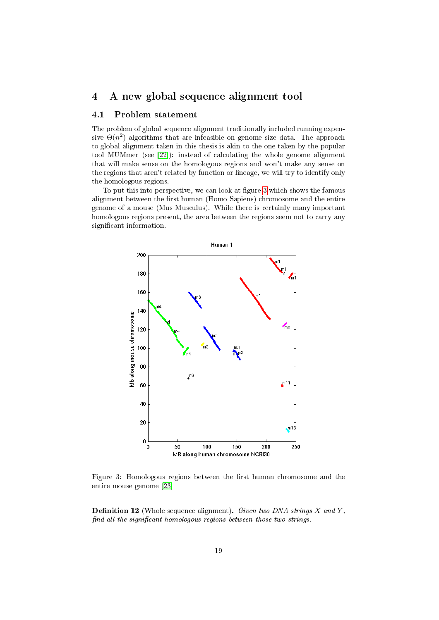## <span id="page-19-0"></span>4 A new global sequence alignment tool

### <span id="page-19-1"></span>4.1 Problem statement

The problem of global sequence alignment traditionally included running expensive  $\Theta(n^2)$  algorithms that are infeasible on genome size data. The approach to global alignment taken in this thesis is akin to the one taken by the popular tool MUMmer (see [\[22\]](#page-28-5)): instead of calculating the whole genome alignment that will make sense on the homologous regions and won't make any sense on the regions that aren't related by function or lineage, we will try to identify only the homologous regions.

To put this into perspective, we can look at figure [3](#page-19-2) which shows the famous alignment between the first human (Homo Sapiens) chromosome and the entire genome of a mouse (Mus Musculus). While there is certainly many important homologous regions present, the area between the regions seem not to carry any significant information.

<span id="page-19-2"></span>

Figure 3: Homologous regions between the first human chromosome and the entire mouse genome [\[23\]](#page-28-6)

**Definition 12** (Whole sequence alignment). Given two DNA strings  $X$  and  $Y$ , find all the significant homologous regions between those two strings.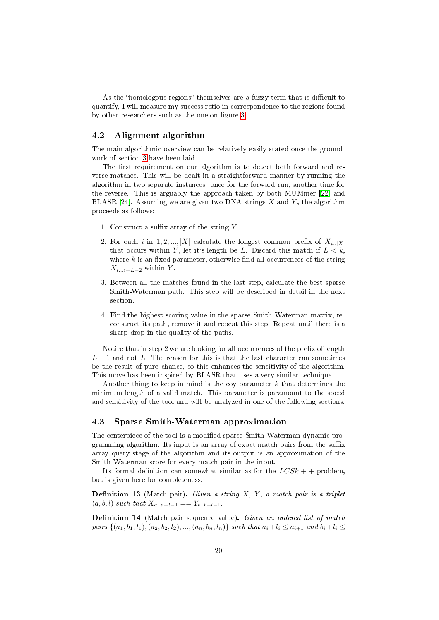As the "homologous regions" themselves are a fuzzy term that is difficult to quantify, I will measure my success ratio in correspondence to the regions found by other researchers such as the one on figure [3.](#page-19-2)

#### <span id="page-20-0"></span>4.2 Alignment algorithm

The main algorithmic overview can be relatively easily stated once the groundwork of section [3](#page-11-0) have been laid.

The first requirement on our algorithm is to detect both forward and reverse matches. This will be dealt in a straightforward manner by running the algorithm in two separate instances: once for the forward run, another time for the reverse. This is arguably the approach taken by both MUMmer [\[22\]](#page-28-5) and BLASR [\[24\]](#page-28-7). Assuming we are given two DNA strings  $X$  and  $Y$ , the algorithm proceeds as follows:

- 1. Construct a suffix array of the string  $Y$ .
- 2. For each i in 1, 2, ..., |X| calculate the longest common prefix of  $X_{i\ldots,X|}$ that occurs within Y, let it's length be L. Discard this match if  $L < k$ , where  $k$  is an fixed parameter, otherwise find all occurrences of the string  $X_{i...i+L-2}$  within Y.
- 3. Between all the matches found in the last step, calculate the best sparse Smith-Waterman path. This step will be described in detail in the next section.
- 4. Find the highest scoring value in the sparse Smith-Waterman matrix, reconstruct its path, remove it and repeat this step. Repeat until there is a sharp drop in the quality of the paths.

Notice that in step 2 we are looking for all occurrences of the prefix of length  $L-1$  and not L. The reason for this is that the last character can sometimes be the result of pure chance, so this enhances the sensitivity of the algorithm. This move has been inspired by BLASR that uses a very similar technique.

Another thing to keep in mind is the coy parameter  $k$  that determines the minimum length of a valid match. This parameter is paramount to the speed and sensitivity of the tool and will be analyzed in one of the following sections.

#### <span id="page-20-1"></span>4.3 Sparse Smith-Waterman approximation

The centerpiece of the tool is a modified sparse Smith-Waterman dynamic programming algorithm. Its input is an array of exact match pairs from the suffix array query stage of the algorithm and its output is an approximation of the Smith-Waterman score for every match pair in the input.

Its formal definition can somewhat similar as for the  $LCSk + +$  problem, but is given here for completeness.

Definition 13 (Match pair). Given a string  $X, Y, a$  match pair is a triplet  $(a, b, l)$  such that  $X_{a...a+l-1} = Y_{b..b+l-1}$ .

Definition 14 (Match pair sequence value). Given an ordered list of match pairs  $\{(a_1, b_1, l_1), (a_2, b_2, l_2), ..., (a_n, b_n, l_n)\}$  such that  $a_i + l_i \le a_{i+1}$  and  $b_i + l_i \le$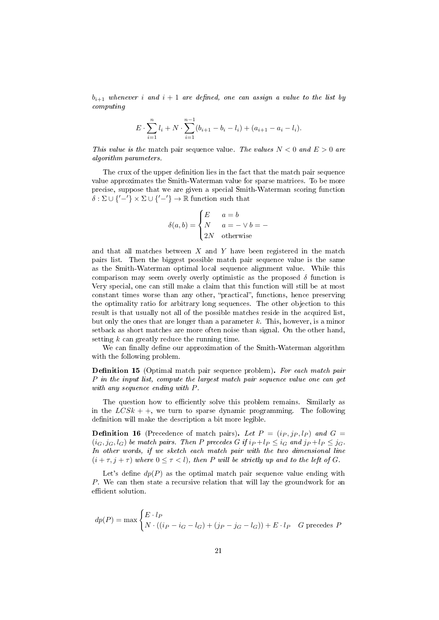$b_{i+1}$  whenever i and  $i+1$  are defined, one can assign a value to the list by computing

$$
E \cdot \sum_{i=1}^{n} l_i + N \cdot \sum_{i=1}^{n-1} (b_{i+1} - b_i - l_i) + (a_{i+1} - a_i - l_i).
$$

This value is the match pair sequence value. The values  $N < 0$  and  $E > 0$  are algorithm parameters.

The crux of the upper definition lies in the fact that the match pair sequence value approximates the Smith-Waterman value for sparse matrices. To be more precise, suppose that we are given a special Smith-Waterman scoring function  $\delta : \Sigma \cup \{-'\} \times \Sigma \cup \{-'\} \rightarrow \mathbb{R}$  function such that

$$
\delta(a, b) = \begin{cases} E & a = b \\ N & a = - \vee b = - \\ 2N & \text{otherwise} \end{cases}
$$

and that all matches between  $X$  and  $Y$  have been registered in the match pairs list. Then the biggest possible match pair sequence value is the same as the Smith-Waterman optimal local sequence alignment value. While this comparison may seem overly overly optimistic as the proposed  $\delta$  function is Very special, one can still make a claim that this function will still be at most constant times worse than any other, "practical", functions, hence preserving the optimality ratio for arbitrary long sequences. The other objection to this result is that usually not all of the possible matches reside in the acquired list, but only the ones that are longer than a parameter  $k$ . This, however, is a minor setback as short matches are more often noise than signal. On the other hand, setting  $k$  can greatly reduce the running time.

We can finally define our approximation of the Smith-Waterman algorithm with the following problem.

**Definition 15** (Optimal match pair sequence problem). For each match pair P in the input list, compute the largest match pair sequence value one can get with any sequence ending with P.

The question how to efficiently solve this problem remains. Similarly as in the  $LCSk + +$ , we turn to sparse dynamic programming. The following definition will make the description a bit more legible.

**Definition 16** (Precedence of match pairs). Let  $P = (i_P, i_P, l_P)$  and  $G =$  $(i_G, j_G, l_G)$  be match pairs. Then P precedes G if  $i_P + l_P \leq i_G$  and  $j_P + l_P \leq j_G$ . In other words, if we sketch each match pair with the two dimensional line  $(i + \tau, j + \tau)$  where  $0 \leq \tau < l$ , then P will be strictly up and to the left of G.

Let's define  $dp(P)$  as the optimal match pair sequence value ending with P. We can then state a recursive relation that will lay the groundwork for an efficient solution.

$$
dp(P) = \max \begin{cases} E \cdot l_P \\ N \cdot ((i_P - i_G - l_G) + (j_P - j_G - l_G)) + E \cdot l_P & G \text{ precedes } P \end{cases}
$$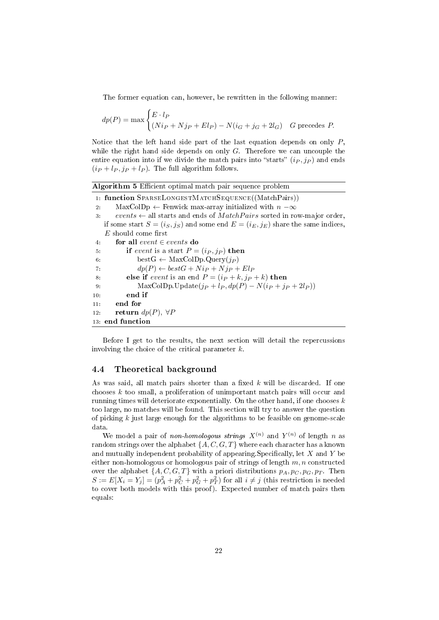The former equation can, however, be rewritten in the following manner:

$$
dp(P) = \max \begin{cases} E \cdot l_P \\ (Ni_P + Nj_P + El_P) - N(i_G + j_G + 2l_G) & G \text{ precedes } P. \end{cases}
$$

Notice that the left hand side part of the last equation depends on only  $P$ , while the right hand side depends on only  $G$ . Therefore we can uncouple the entire equation into if we divide the match pairs into "starts"  $(i_P, j_P)$  and ends  $(i_P + l_P, j_P + l_P)$ . The full algorithm follows.

| <b>Algorithm 5</b> Efficient optimal match pair sequence problem |  |  |  |  |  |  |  |
|------------------------------------------------------------------|--|--|--|--|--|--|--|
|------------------------------------------------------------------|--|--|--|--|--|--|--|

|       | 1. function SPARSELONGESTMATCHSEQUENCE((MatchPairs))                                    |
|-------|-----------------------------------------------------------------------------------------|
| 2:    | $MaxColDp \leftarrow$ Fenwick max-array initialized with $n - \infty$                   |
| $3 -$ | events $\leftarrow$ all starts and ends of <i>MatchPairs</i> sorted in row-major order, |
|       | if some start $S = (i_S, j_S)$ and some end $E = (i_E, j_E)$ share the same indices,    |
|       | $E$ should come first                                                                   |
| 4:    | for all event $\in$ events do                                                           |
| 5.    | if event is a start $P = (i_P, j_P)$ then                                               |
| 6:    | best $G \leftarrow \text{MaxColDp}$ . Query $(j_P)$                                     |
| 7:    | $dp(P) \leftarrow bestG + Nip + Njp + ElP$                                              |
| 8:    | else if <i>event</i> is an end $P = (i_P + k, j_P + k)$ then                            |
| 9:    | MaxColDp.Update $(j_P + l_P, dp(P) - N(i_P + j_P + 2l_P))$                              |
| 10:   | end if                                                                                  |
| 11:   | end for                                                                                 |
| 12.   | return $dp(P)$ , $\forall P$                                                            |
|       | 13: end function                                                                        |

Before I get to the results, the next section will detail the repercussions involving the choice of the critical parameter k.

#### <span id="page-22-0"></span>4.4 Theoretical background

As was said, all match pairs shorter than a fixed  $k$  will be discarded. If one chooses k too small, a proliferation of unimportant match pairs will occur and running times will deteriorate exponentially. On the other hand, if one chooses  $k$ too large, no matches will be found. This section will try to answer the question of picking  $k$  just large enough for the algorithms to be feasible on genome-scale data.

We model a pair of *non-homologous strings*  $X^{(n)}$  and  $Y^{(n)}$  of length n as random strings over the alphabet  $\{A, C, G, T\}$  where each character has a known and mutually independent probability of appearing. Specifically, let  $X$  and  $Y$  be either non-homologous or homologous pair of strings of length  $m, n$  constructed over the alphabet  $\{A, C, G, T\}$  with a priori distributions  $p_A, p_C, p_G, p_T$ . Then  $S := E[X_i = Y_j] = (p_A^2 + p_C^2 + p_G^2 + p_T^2)$  for all  $i \neq j$  (this restriction is needed to cover both models with this proof). Expected number of match pairs then equals: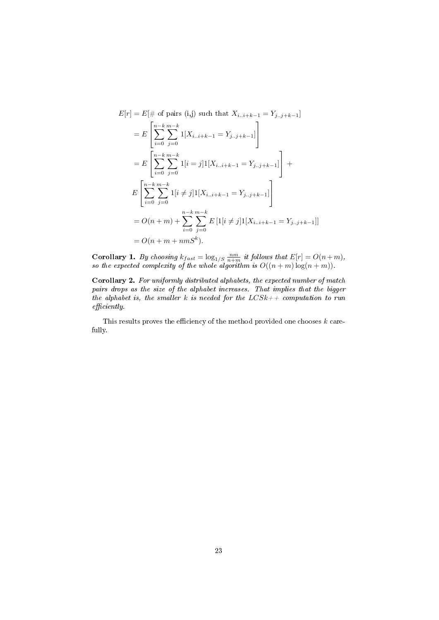$$
E[r] = E[\# \text{ of pairs (i,j) such that } X_{i..i+k-1} = Y_{j..j+k-1}]
$$
  
\n
$$
= E\left[\sum_{i=0}^{n-k} \sum_{j=0}^{m-k} 1[X_{i..i+k-1} = Y_{j..j+k-1}]\right]
$$
  
\n
$$
= E\left[\sum_{i=0}^{n-k} \sum_{j=0}^{m-k} 1[i=j]1[X_{i..i+k-1} = Y_{j..j+k-1}]\right] +
$$
  
\n
$$
E\left[\sum_{i=0}^{n-k} \sum_{j=0}^{m-k} 1[i \neq j]1[X_{i..i+k-1} = Y_{j..j+k-1}]\right]
$$
  
\n
$$
= O(n+m) + \sum_{i=0}^{n-k} \sum_{j=0}^{m-k} E\left[1[i \neq j]1[X_{i..i+k-1} = Y_{j..j+k-1}]\right]
$$
  
\n
$$
= O(n+m + nmS^k).
$$

**Corollary 1.** By choosing  $k_{fast} = \log_{1/S} \frac{nm}{n+m}$  it follows that  $E[r] = O(n+m)$ , so the expected complexity of the whole algorithm is  $O((n+m)\log(n+m))$ .

Corollary 2. For uniformly distributed alphabets, the expected number of match pairs drops as the size of the alphabet increases. That implies that the bigger the alphabet is, the smaller k is needed for the  $LCSk++$  computation to run  $efficiently.$ 

This results proves the efficiency of the method provided one chooses  $k$  carefully.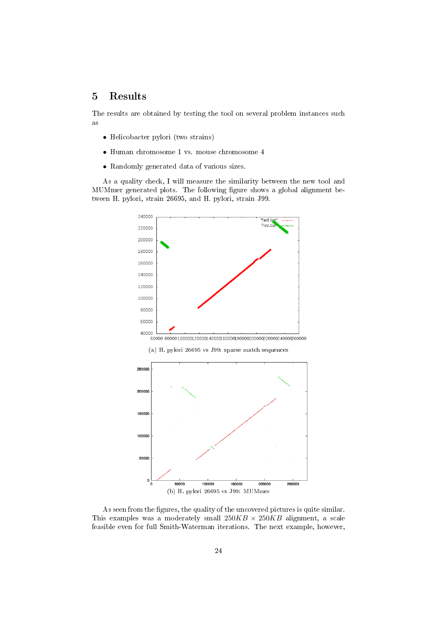## <span id="page-24-0"></span>5 Results

The results are obtained by testing the tool on several problem instances such as

- Helicobacter pylori (two strains)
- Human chromosome 1 vs. mouse chromosome 4
- Randomly generated data of various sizes.

As a quality check, I will measure the similarity between the new tool and MUMmer generated plots. The following figure shows a global alignment between H. pylori, strain 26695, and H. pylori, strain J99.



(a) H. pylori 26695 vs J99: sparse match sequences



As seen from the figures, the quality of the uncovered pictures is quite similar. This examples was a moderately small  $250KB \times 250KB$  alignment, a scale feasible even for full Smith-Waterman iterations. The next example, however,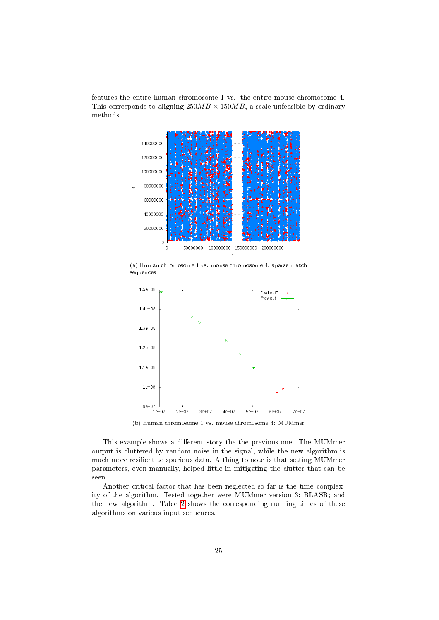features the entire human chromosome 1 vs. the entire mouse chromosome 4. This corresponds to aligning  $250MB \times 150MB$ , a scale unfeasible by ordinary methods.



(a) Human chromosome 1 vs. mouse chromosome 4: sparse match sequences



(b) Human chromosome 1 vs. mouse chromosome 4: MUMmer

This example shows a different story the the previous one. The MUMmer output is cluttered by random noise in the signal, while the new algorithm is much more resilient to spurious data. A thing to note is that setting MUMmer parameters, even manually, helped little in mitigating the clutter that can be seen.

Another critical factor that has been neglected so far is the time complexity of the algorithm. Tested together were MUMmer version 3; BLASR; and the new algorithm. Table [2](#page-26-1) shows the corresponding running times of these algorithms on various input sequences.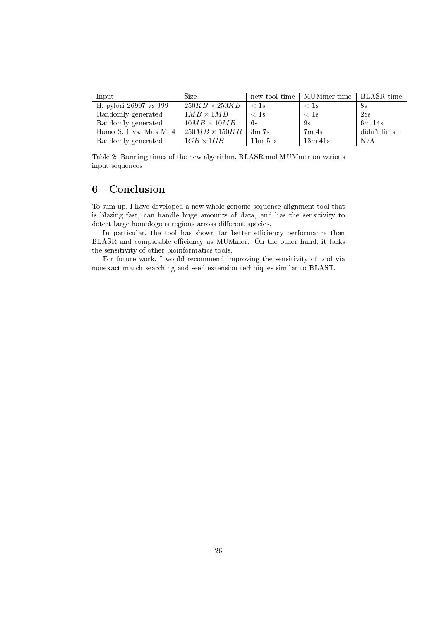<span id="page-26-1"></span>

| Input                        | <b>Size</b>          |                  | new tool time   MUMmer time   BLASR time |               |
|------------------------------|----------------------|------------------|------------------------------------------|---------------|
| H. pylori 26997 vs J99       | $250KB \times 250KB$ | $\rm <1s$        | $<$ 1s                                   | 8s            |
| Randomly generated           | $1MB \times 1MB$     | $\rm < 1s$       | $\langle$ 1s                             | 28s           |
| Randomly generated           | $10MB \times 10MB$   | -6s              | 9s                                       | $6m$ 14s      |
| Homo $S$ . 1 vs. Mus $M$ . 4 | $250MB \times 150KB$ | 3m <sub>7s</sub> | 7m <sub>4s</sub>                         | didn't finish |
| Randomly generated           | $1GB \times 1GB$     | 11m50s           | $13m$ $41s$                              | N/A           |

Table 2: Running times of the new algorithm, BLASR and MUMmer on various input sequences

## <span id="page-26-0"></span>6 Conclusion

To sum up, I have developed a new whole genome sequence alignment tool that is blazing fast, can handle huge amounts of data, and has the sensitivity to detect large homologous regions across different species.

In particular, the tool has shown far better efficiency performance than BLASR and comparable efficiency as MUMmer. On the other hand, it lacks the sensitivity of other bioinformatics tools.

For future work, I would recommend improving the sensitivity of tool via nonexact match searching and seed extension techniques similar to BLAST.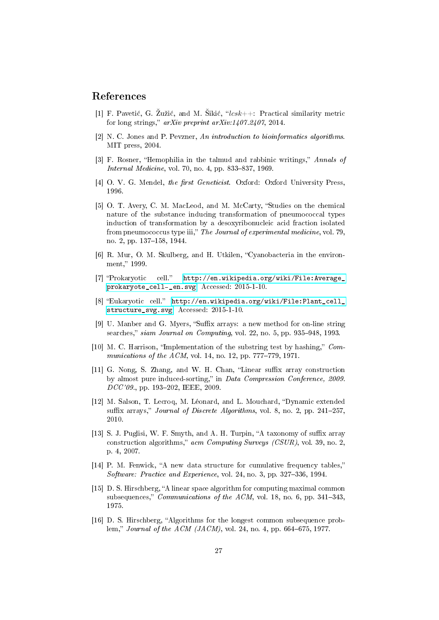## References

- <span id="page-27-0"></span>[1] F. Pavetić, G. Zužić, and M. Sikić, " $lcsk++$ : Practical similarity metric for long strings,"  $arXiv$  preprint  $arXiv:1407.2407$ , 2014.
- <span id="page-27-1"></span>[2] N. C. Jones and P. Pevzner, An introduction to bioinformatics algorithms. MIT press, 2004.
- <span id="page-27-2"></span>[3] F. Rosner, "Hemophilia in the talmud and rabbinic writings," Annals of Internal Medicine, vol. 70, no. 4, pp. 833-837, 1969.
- <span id="page-27-3"></span>[4] O. V. G. Mendel, the first Geneticist. Oxford: Oxford University Press, 1996.
- <span id="page-27-4"></span>[5] O. T. Avery, C. M. MacLeod, and M. McCarty, "Studies on the chemical nature of the substance inducing transformation of pneumococcal types induction of transformation by a desoxyribonucleic acid fraction isolated from pneumococcus type iii," The Journal of experimental medicine, vol. 79, no. 2, pp. 137–158, 1944.
- <span id="page-27-7"></span>[6] R. Mur, O. M. Skulberg, and H. Utkilen, "Cyanobacteria in the environment," 1999.
- <span id="page-27-5"></span>[7] "Prokaryotic cell." [http://en.wikipedia.org/wiki/File:Average\\_](http://en.wikipedia.org/wiki/File:Average_prokaryote_cell-_en.svg) [prokaryote\\_cell-\\_en.svg.](http://en.wikipedia.org/wiki/File:Average_prokaryote_cell-_en.svg) Accessed: 2015-1-10.
- <span id="page-27-6"></span>[8] "Eukaryotic cell." [http://en.wikipedia.org/wiki/File:Plant\\_cell\\_](http://en.wikipedia.org/wiki/File:Plant_cell_structure_svg.svg) [structure\\_svg.svg.](http://en.wikipedia.org/wiki/File:Plant_cell_structure_svg.svg) Accessed: 2015-1-10.
- <span id="page-27-8"></span>[9] U. Manber and G. Myers, "Suffix arrays: a new method for on-line string searches," siam Journal on Computing, vol. 22, no. 5, pp.  $935-948$ , 1993.
- <span id="page-27-9"></span>[10] M. C. Harrison, "Implementation of the substring test by hashing,"  $Com$ munications of the  $ACM$ , vol. 14, no. 12, pp. 777-779, 1971.
- <span id="page-27-10"></span>[11] G. Nong, S. Zhang, and W. H. Chan, "Linear suffix array construction by almost pure induced-sorting," in Data Compression Conference, 2009.  $DCC'09$ , pp. 193-202, IEEE, 2009.
- <span id="page-27-11"></span>[12] M. Salson, T. Lecroq, M. Léonard, and L. Mouchard, "Dynamic extended suffix arrays," *Journal of Discrete Algorithms*, vol. 8, no. 2, pp.  $241-257$ . 2010.
- <span id="page-27-12"></span>[13] S. J. Puglisi, W. F. Smyth, and A. H. Turpin, "A taxonomy of suffix array construction algorithms,"  $a$ cm Computing Surveys (CSUR), vol. 39, no. 2, p. 4, 2007.
- <span id="page-27-13"></span> $[14]$  P. M. Fenwick, "A new data structure for cumulative frequency tables," Software: Practice and Experience, vol. 24, no. 3, pp. 327-336, 1994.
- <span id="page-27-14"></span>[15] D. S. Hirschberg, "A linear space algorithm for computing maximal common subsequences," Communications of the ACM, vol. 18, no. 6, pp. 341-343, 1975.
- <span id="page-27-15"></span>[16] D. S. Hirschberg, Algorithms for the longest common subsequence problem," *Journal of the ACM (JACM)*, vol. 24, no. 4, pp. 664–675, 1977.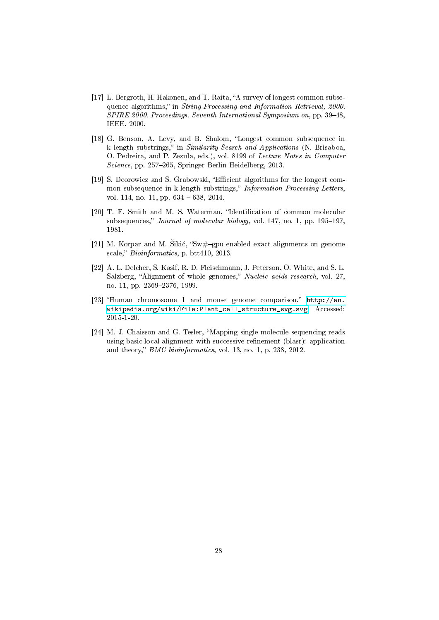- <span id="page-28-0"></span>[17] L. Bergroth, H. Hakonen, and T. Raita, "A survey of longest common subsequence algorithms," in String Processing and Information Retrieval, 2000. SPIRE 2000. Proceedings. Seventh International Symposium on, pp. 39–48, IEEE, 2000.
- <span id="page-28-1"></span>[18] G. Benson, A. Levy, and B. Shalom, "Longest common subsequence in k length substrings," in Similarity Search and Applications (N. Brisaboa, O. Pedreira, and P. Zezula, eds.), vol. 8199 of Lecture Notes in Computer Science, pp. 257–265, Springer Berlin Heidelberg, 2013.
- <span id="page-28-2"></span>[19] S. Deorowicz and S. Grabowski, "Efficient algorithms for the longest common subsequence in k-length substrings," Information Processing Letters, vol. 114, no. 11, pp. 634 – 638, 2014.
- <span id="page-28-3"></span>[20] T. F. Smith and M. S. Waterman, "Identification of common molecular subsequences," *Journal of molecular biology*, vol. 147, no. 1, pp.  $195-197$ , 1981.
- <span id="page-28-4"></span>[21] M. Korpar and M. Sikić, "Sw#-gpu-enabled exact alignments on genome scale," Bioinformatics, p. btt410, 2013.
- <span id="page-28-5"></span>[22] A. L. Delcher, S. Kasif, R. D. Fleischmann, J. Peterson, O. White, and S. L. Salzberg, "Alignment of whole genomes," Nucleic acids research, vol. 27, no. 11, pp. 2369-2376, 1999.
- <span id="page-28-6"></span>[23] "Human chromosome 1 and mouse genome comparison." [http://en.](http://en.wikipedia.org/wiki/File:Plant_cell_structure_svg.svg) [wikipedia.org/wiki/File:Plant\\_cell\\_structure\\_svg.svg.](http://en.wikipedia.org/wiki/File:Plant_cell_structure_svg.svg) Accessed: 2015-1-20.
- <span id="page-28-7"></span>[24] M. J. Chaisson and G. Tesler, Mapping single molecule sequencing reads using basic local alignment with successive refinement (blasr): application and theory,"  $BMC\ bioinformatics, vol. 13, no. 1, p. 238, 2012.$